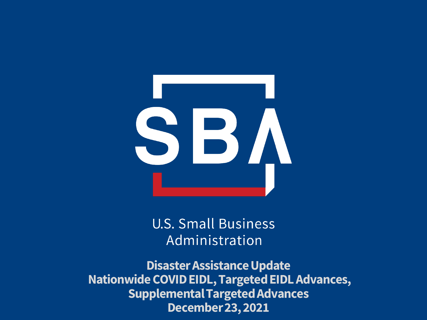

**U.S. Small Business** Administration

**Disaster Assistance Update Nationwide COVID EIDL, Targeted EIDL Advances, Supplemental Targeted Advances December 23, 2021**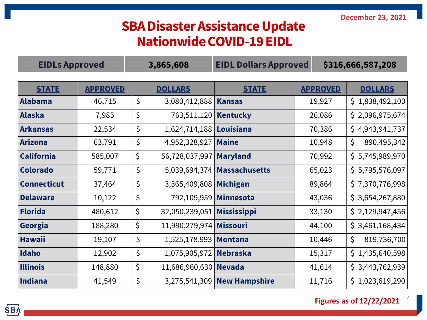## **SBA Disaster Assistance Update Nationwide COVID-19 EIDL**

| <b>EIDLs Approved</b> |                 | 3,865,608 |                              | <b>EIDL Dollars Approved</b>  |        | \$316,666,587,208 |                    |  |
|-----------------------|-----------------|-----------|------------------------------|-------------------------------|--------|-------------------|--------------------|--|
|                       |                 |           |                              |                               |        |                   |                    |  |
| <b>STATE</b>          | <b>APPROVED</b> |           | <b>DOLLARS</b>               | <b>STATE</b>                  |        | <b>APPROVED</b>   | <b>DOLLARS</b>     |  |
| Alabama               | 46,715          | $\zeta$   | 3,080,412,888                | Kansas                        |        | 19,927            | \$1,838,492,100    |  |
| Alaska                | 7,985           | $\zeta$   | 763,511,120   Kentucky       |                               |        | 26,086            | \$2,096,975,674    |  |
| Arkansas              | 22,534          | $\zeta$   | 1,624,714,188   Louisiana    |                               |        | 70,386            | \$4,943,941,737    |  |
| Arizona               | 63,791          | \$        | 4,952,328,927                | Maine                         |        | 10,948            | \$.<br>890,495,342 |  |
| <b>California</b>     | 585,007         | \$        | 56,728,037,997               | Maryland                      |        | 70,992            | \$5,745,989,970    |  |
| <b>Colorado</b>       | 59,771          | $\zeta$   |                              | 5,039,694,374   Massachusetts |        | 65,023            | \$5,795,576,097    |  |
| <b>Connecticut</b>    | 37,464          | $\zeta$   | 3,365,409,808 Michigan       |                               | 89,864 |                   | \$7,370,776,998    |  |
| <b>Delaware</b>       | 10,122          | \$        | 792,109,959   Minnesota      |                               | 43,036 |                   | \$3,654,267,880    |  |
| Florida               | 480,612         | \$        | 32,050,239,051   Mississippi |                               | 33,130 |                   | \$2,129,947,456    |  |
| Georgia               | 188,280         | \$        | 11,990,279,974 Missouri      |                               |        | 44,100            | \$3,461,168,434    |  |
| Hawaii                | 19,107          | $\zeta$   | 1,525,178,993   Montana      |                               |        | 10,446            | \$.<br>819,736,700 |  |
| Idaho                 | 12,902          | $\zeta$   | 1,075,905,972 Nebraska       |                               | 15,317 |                   | \$1,435,640,598    |  |
| <b>Illinois</b>       | 148,880         | \$        | 11,686,960,630 Nevada        |                               |        | 41,614            | \$3,443,762,939    |  |
| Indiana               | 41,549          | \$        |                              | 3,275,541,309 New Hampshire   |        | 11,716            | \$1,023,619,290    |  |

**Figures as of 12/22/2021**

2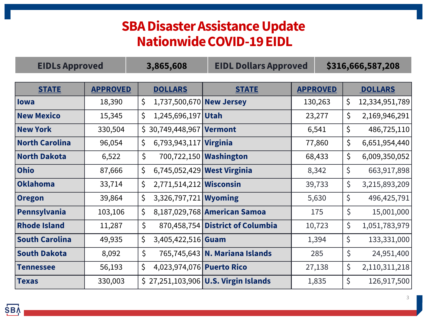## **SBA Disaster Assistance Update Nationwide COVID-19 EIDL**

| <b>EIDLs Approved</b> |                 | 3,865,608                       | <b>EIDL Dollars Approved</b>         |                 | \$316,666,587,208    |
|-----------------------|-----------------|---------------------------------|--------------------------------------|-----------------|----------------------|
|                       |                 |                                 |                                      |                 |                      |
| <b>STATE</b>          | <b>APPROVED</b> | <b>DOLLARS</b>                  | <b>STATE</b>                         | <b>APPROVED</b> | <b>DOLLARS</b>       |
| lowa                  | 18,390          | \$<br>1,737,500,670 New Jersey  |                                      | 130,263         | \$<br>12,334,951,789 |
| <b>New Mexico</b>     | 15,345          | \$<br>1,245,696,197 Utah        |                                      | 23,277          | \$.<br>2,169,946,291 |
| <b>New York</b>       | 330,504         | $$30,749,448,967$ Vermont       |                                      | 6,541           | \$<br>486,725,110    |
| <b>North Carolina</b> | 96,054          | \$<br>6,793,943,117 Virginia    |                                      | 77,860          | \$<br>6,651,954,440  |
| <b>North Dakota</b>   | 6,522           | $\zeta$                         | 700,722,150 <b>Washington</b>        | 68,433          | \$<br>6,009,350,052  |
| <b>Ohio</b>           | 87,666          | \$                              | 6,745,052,429 West Virginia          | 8,342           | \$<br>663,917,898    |
| Oklahoma              | 33,714          | \$<br>2,771,514,212 Wisconsin   |                                      | 39,733          | \$<br>3,215,893,209  |
| <b>Oregon</b>         | 39,864          | \$<br>3,326,797,721 Wyoming     |                                      | 5,630           | \$<br>496, 425, 791  |
| Pennsylvania          | 103,106         | \$                              | 8,187,029,768 American Samoa         | 175             | \$<br>15,001,000     |
| <b>Rhode Island</b>   | 11,287          | \$                              | 870,458,754 District of Columbia     | 10,723          | \$<br>1,051,783,979  |
| <b>South Carolina</b> | 49,935          | \$<br>$3,405,422,516$ Guam      |                                      | 1,394           | \$<br>133,331,000    |
| <b>South Dakota</b>   | 8,092           | \$                              | 765,745,643 N. Mariana Islands       | 285             | \$<br>24,951,400     |
| <b>Tennessee</b>      | 56,193          | \$<br>4,023,974,076 Puerto Rico |                                      | 27,138          | \$<br>2,110,311,218  |
| <b>Texas</b>          | 330,003         |                                 | \$27,251,103,906 U.S. Virgin Islands | 1,835           | \$<br>126,917,500    |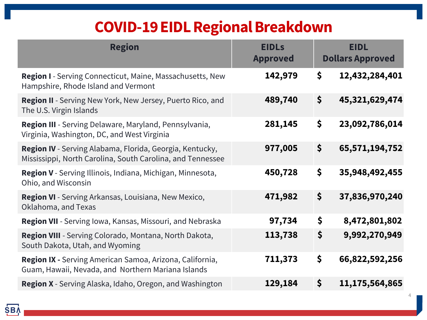## **COVID-19 EIDL Regional Breakdown**

| <b>Region</b>                                                                                                          | <b>EIDLs</b><br><b>Approved</b> | <b>EIDL</b><br><b>Dollars Approved</b> |
|------------------------------------------------------------------------------------------------------------------------|---------------------------------|----------------------------------------|
| <b>Region I</b> - Serving Connecticut, Maine, Massachusetts, New<br>Hampshire, Rhode Island and Vermont                | 142,979                         | \$<br>12,432,284,401                   |
| Region II - Serving New York, New Jersey, Puerto Rico, and<br>The U.S. Virgin Islands                                  | 489,740                         | \$<br>45,321,629,474                   |
| Region III - Serving Delaware, Maryland, Pennsylvania,<br>Virginia, Washington, DC, and West Virginia                  | 281,145                         | \$<br>23,092,786,014                   |
| Region IV - Serving Alabama, Florida, Georgia, Kentucky,<br>Mississippi, North Carolina, South Carolina, and Tennessee | 977,005                         | \$<br>65,571,194,752                   |
| Region V - Serving Illinois, Indiana, Michigan, Minnesota,<br>Ohio, and Wisconsin                                      | 450,728                         | \$<br>35,948,492,455                   |
| Region VI - Serving Arkansas, Louisiana, New Mexico,<br>Oklahoma, and Texas                                            | 471,982                         | \$<br>37,836,970,240                   |
| <b>Region VII</b> - Serving Iowa, Kansas, Missouri, and Nebraska                                                       | 97,734                          | \$<br>8,472,801,802                    |
| Region VIII - Serving Colorado, Montana, North Dakota,<br>South Dakota, Utah, and Wyoming                              | 113,738                         | \$<br>9,992,270,949                    |
| <b>Region IX -</b> Serving American Samoa, Arizona, California,<br>Guam, Hawaii, Nevada, and Northern Mariana Islands  | 711,373                         | \$<br>66,822,592,256                   |
| Region X - Serving Alaska, Idaho, Oregon, and Washington                                                               | 129,184                         | \$<br>11,175,564,865                   |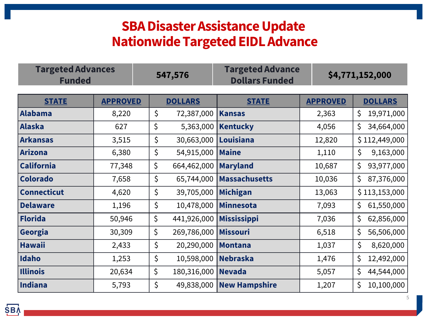## **SBA Disaster Assistance Update Nationwide Targeted EIDL Advance**

| <b>Targeted Advances</b><br><b>Funded</b> |                 |         | 547,576                   | <b>Targeted Advance</b><br><b>Dollars Funded</b> |                 | \$4,771,152,000  |  |  |
|-------------------------------------------|-----------------|---------|---------------------------|--------------------------------------------------|-----------------|------------------|--|--|
| <b>STATE</b>                              | <b>APPROVED</b> |         | <b>DOLLARS</b>            | <b>STATE</b>                                     | <b>APPROVED</b> | <b>DOLLARS</b>   |  |  |
| <b>Alabama</b>                            | 8,220           | $\zeta$ | 72,387,000                | <b>Kansas</b>                                    | 2,363           | \$<br>19,971,000 |  |  |
| <b>Alaska</b>                             | 627             | \$      | 5,363,000                 | <b>Kentucky</b>                                  | 4,056           | 34,664,000<br>\$ |  |  |
| <b>Arkansas</b>                           | 3,515           | \$      | 30,663,000   Louisiana    |                                                  | 12,820          | \$112,449,000    |  |  |
| <b>Arizona</b>                            | 6,380           | \$      | 54,915,000 Maine          |                                                  | 1,110           | \$<br>9,163,000  |  |  |
| <b>California</b>                         | 77,348          | \$      | 664,462,000               | <b>Maryland</b>                                  | 10,687          | \$<br>93,977,000 |  |  |
| <b>Colorado</b>                           | 7,658           | \$      | 65,744,000                | <b>Massachusetts</b>                             | 10,036          | 87,376,000<br>\$ |  |  |
| <b>Connecticut</b>                        | 4,620           | $\zeta$ | 39,705,000                | Michigan                                         | 13,063          | \$113,153,000    |  |  |
| <b>Delaware</b>                           | 1,196           | \$      | 10,478,000                | Minnesota                                        | 7,093           | 61,550,000<br>\$ |  |  |
| <b>Florida</b>                            | 50,946          | \$      | 441,926,000   Mississippi |                                                  | 7,036           | \$<br>62,856,000 |  |  |
| Georgia                                   | 30,309          | \$      | 269,786,000               | Missouri                                         | 6,518           | \$<br>56,506,000 |  |  |
| <b>Hawaii</b>                             | 2,433           | \$      | 20,290,000                | Montana                                          | 1,037           | \$<br>8,620,000  |  |  |
| Idaho                                     | 1,253           | \$      | 10,598,000                | Nebraska                                         | 1,476           | 12,492,000<br>\$ |  |  |
| <b>Illinois</b>                           | 20,634          | \$      | 180,316,000   Nevada      |                                                  | 5,057           | \$<br>44,544,000 |  |  |
| Indiana                                   | 5,793           | $\zeta$ |                           | 49,838,000 New Hampshire                         | 1,207           | \$<br>10,100,000 |  |  |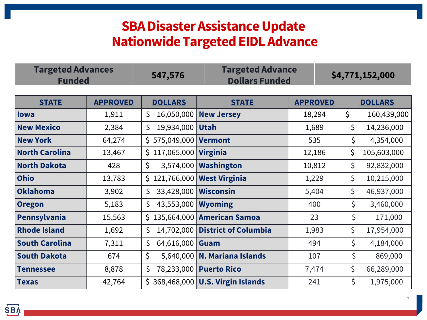## **SBA Disaster Assistance Update Nationwide Targeted EIDL Advance**

| <b>Targeted Advances</b><br><b>Funded</b> | 547,576 | <b>Targeted Advance</b><br>Dollars Funded | \$4,771,152,000 |
|-------------------------------------------|---------|-------------------------------------------|-----------------|
|                                           |         |                                           |                 |

| <b>STATE</b>          | <b>APPROVED</b> | <b>DOLLARS</b>                | <b>STATE</b>                       | <b>APPROVED</b> | <b>DOLLARS</b>         |
|-----------------------|-----------------|-------------------------------|------------------------------------|-----------------|------------------------|
| lowa                  | 1,911           | 16,050,000<br>\$              | <b>New Jersey</b>                  | 18,294          | $\zeta$<br>160,439,000 |
| <b>New Mexico</b>     | 2,384           | 19,934,000   Utah<br>\$.      |                                    | 1,689           | \$<br>14,236,000       |
| <b>New York</b>       | 64,274          | \$575,049,000 <b>Vermont</b>  |                                    | 535             | \$<br>4,354,000        |
| <b>North Carolina</b> | 13,467          | $$117,065,000$ Virginia       |                                    | 12,186          | \$<br>105,603,000      |
| <b>North Dakota</b>   | 428             | $\zeta$                       | 3,574,000   Washington             | 10,812          | \$<br>92,832,000       |
| <b>Ohio</b>           | 13,783          | \$121,766,000   West Virginia |                                    | 1,229           | \$<br>10,215,000       |
| Oklahoma              | 3,902           | 33,428,000 Wisconsin<br>\$.   |                                    | 5,404           | \$<br>46,937,000       |
| <b>Oregon</b>         | 5,183           | 43,553,000<br>\$.             | <b>Wyoming</b>                     | 400             | \$<br>3,460,000        |
| Pennsylvania          | 15,563          |                               | \$135,664,000 American Samoa       | 23              | \$<br>171,000          |
| <b>Rhode Island</b>   | 1,692           | 14,702,000<br>\$.             | <b>District of Columbia</b>        | 1,983           | \$<br>17,954,000       |
| <b>South Carolina</b> | 7,311           | 64,616,000<br>\$.             | Guam                               | 494             | \$<br>4,184,000        |
| <b>South Dakota</b>   | 674             | $\zeta$                       | 5,640,000   N. Mariana Islands     | 107             | $\zeta$<br>869,000     |
| <b>Tennessee</b>      | 8,878           | \$.                           | 78,233,000   Puerto Rico           | 7,474           | \$<br>66,289,000       |
| <b>Texas</b>          | 42,764          |                               | $$368,468,000$ U.S. Virgin Islands | 241             | \$<br>1,975,000        |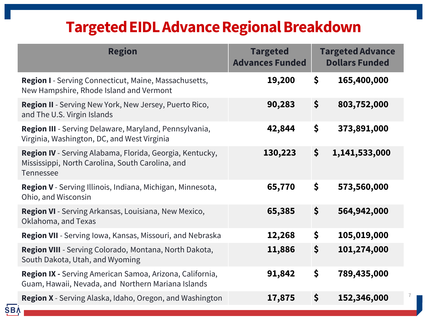## **Targeted EIDL Advance Regional Breakdown**

| <b>Region</b>                                                                                                                           | <b>Targeted</b><br><b>Advances Funded</b> | <b>Targeted Advance</b><br><b>Dollars Funded</b> |               |  |
|-----------------------------------------------------------------------------------------------------------------------------------------|-------------------------------------------|--------------------------------------------------|---------------|--|
| <b>Region I</b> - Serving Connecticut, Maine, Massachusetts,<br>New Hampshire, Rhode Island and Vermont                                 | 19,200                                    | \$                                               | 165,400,000   |  |
| <b>Region II</b> - Serving New York, New Jersey, Puerto Rico,<br>and The U.S. Virgin Islands                                            | 90,283                                    | \$                                               | 803,752,000   |  |
| Region III - Serving Delaware, Maryland, Pennsylvania,<br>Virginia, Washington, DC, and West Virginia                                   | 42,844                                    | \$                                               | 373,891,000   |  |
| <b>Region IV</b> - Serving Alabama, Florida, Georgia, Kentucky,<br>Mississippi, North Carolina, South Carolina, and<br><b>Tennessee</b> | 130,223                                   | $\zeta$                                          | 1,141,533,000 |  |
| Region V - Serving Illinois, Indiana, Michigan, Minnesota,<br>Ohio, and Wisconsin                                                       | 65,770                                    | \$                                               | 573,560,000   |  |
| Region VI - Serving Arkansas, Louisiana, New Mexico,<br>Oklahoma, and Texas                                                             | 65,385                                    | \$                                               | 564,942,000   |  |
| Region VII - Serving Iowa, Kansas, Missouri, and Nebraska                                                                               | 12,268                                    | \$                                               | 105,019,000   |  |
| Region VIII - Serving Colorado, Montana, North Dakota,<br>South Dakota, Utah, and Wyoming                                               | 11,886                                    | \$                                               | 101,274,000   |  |
| Region IX - Serving American Samoa, Arizona, California,<br>Guam, Hawaii, Nevada, and Northern Mariana Islands                          | 91,842                                    | \$                                               | 789,435,000   |  |
| Region X - Serving Alaska, Idaho, Oregon, and Washington                                                                                | 17,875                                    | \$                                               | 152,346,000   |  |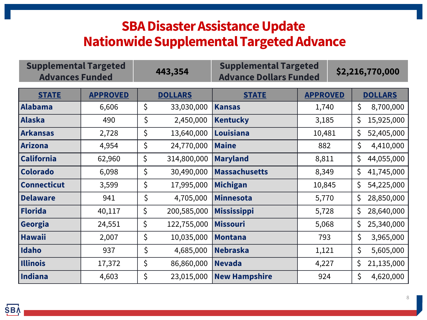## **SBA Disaster Assistance Update Nationwide Supplemental Targeted Advance**

| <b>Supplemental Targeted</b><br><b>Advances Funded</b> |                 |    | 443,354        | <b>Supplemental Targeted</b><br><b>Advance Dollars Funded</b> |        |                 | \$2,216,770,000 |                |  |
|--------------------------------------------------------|-----------------|----|----------------|---------------------------------------------------------------|--------|-----------------|-----------------|----------------|--|
| <b>STATE</b>                                           | <b>APPROVED</b> |    | <b>DOLLARS</b> | <b>STATE</b>                                                  |        | <b>APPROVED</b> |                 | <b>DOLLARS</b> |  |
| Alabama                                                | 6,606           | \$ | 33,030,000     | <b>Kansas</b>                                                 |        | 1,740           |                 | 8,700,000      |  |
| Alaska                                                 | 490             | \$ | 2,450,000      | <b>Kentucky</b>                                               | 3,185  |                 | \$              | 15,925,000     |  |
| Arkansas                                               | 2,728           | \$ | 13,640,000     | Louisiana                                                     | 10,481 |                 | \$              | 52,405,000     |  |
| Arizona                                                | 4,954           | \$ | 24,770,000     | <b>Maine</b>                                                  | 882    |                 | \$              | 4,410,000      |  |
| <b>California</b>                                      | 62,960          | \$ | 314,800,000    | <b>Maryland</b>                                               | 8,811  |                 | \$              | 44,055,000     |  |
| <b>Colorado</b>                                        | 6,098           | \$ | 30,490,000     | <b>Massachusetts</b>                                          | 8,349  |                 | \$              | 41,745,000     |  |
| <b>Connecticut</b>                                     | 3,599           | \$ | 17,995,000     | <b>Michigan</b>                                               | 10,845 |                 | \$              | 54,225,000     |  |
| <b>Delaware</b>                                        | 941             | \$ | 4,705,000      | <b>Minnesota</b>                                              | 5,770  |                 | \$              | 28,850,000     |  |
| Florida                                                | 40,117          | \$ | 200,585,000    | <b>Mississippi</b>                                            | 5,728  |                 | \$.             | 28,640,000     |  |
| Georgia                                                | 24,551          | \$ | 122,755,000    | <b>Missouri</b>                                               | 5,068  |                 | \$              | 25,340,000     |  |
| <b>Hawaii</b>                                          | 2,007           | \$ | 10,035,000     | <b>Montana</b>                                                | 793    |                 | \$              | 3,965,000      |  |
| <b>Idaho</b>                                           | 937             | \$ | 4,685,000      | <b>Nebraska</b>                                               | 1,121  |                 | \$              | 5,605,000      |  |
| <b>Illinois</b>                                        | 17,372          | \$ | 86,860,000     | <b>Nevada</b>                                                 |        | 4,227           |                 | 21,135,000     |  |
| Indiana                                                | 4,603           | \$ | 23,015,000     | <b>New Hampshire</b>                                          | 924    |                 | \$              | 4,620,000      |  |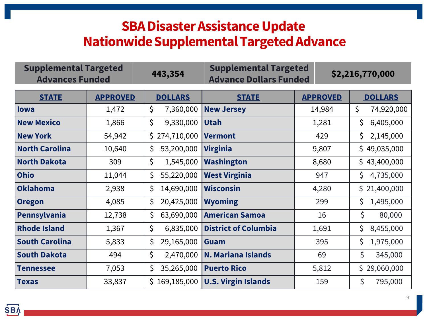## **SBA Disaster Assistance Update Nationwide Supplemental Targeted Advance**

| <b>Supplemental Targeted</b><br><b>Advances Funded</b> |                 | 443,354            | <b>Supplemental Targeted</b><br><b>Advance Dollars Funded</b> |                 | \$2,216,770,000  |
|--------------------------------------------------------|-----------------|--------------------|---------------------------------------------------------------|-----------------|------------------|
| <b>STATE</b>                                           | <b>APPROVED</b> | <b>DOLLARS</b>     | <b>STATE</b>                                                  | <b>APPROVED</b> | <b>DOLLARS</b>   |
| <b>lowa</b>                                            | 1,472           | \$<br>7,360,000    | <b>New Jersey</b>                                             | 14,984          | \$<br>74,920,000 |
| <b>New Mexico</b>                                      | 1,866           | \$<br>9,330,000    | <b>Utah</b>                                                   | 1,281           | 6,405,000<br>\$  |
| <b>New York</b>                                        | 54,942          | 274,710,000<br>\$. | <b>Vermont</b>                                                | 429             | 2,145,000<br>\$  |
| <b>North Carolina</b>                                  | 10,640          | \$<br>53,200,000   | <b>Virginia</b>                                               | 9,807           | \$49,035,000     |
| <b>North Dakota</b>                                    | 309             | \$<br>1,545,000    | <b>Washington</b>                                             | 8,680           | \$43,400,000     |
| <b>Ohio</b>                                            | 11,044          | 55,220,000<br>\$   | <b>West Virginia</b>                                          | 947             | \$<br>4,735,000  |
| <b>Oklahoma</b>                                        | 2,938           | \$<br>14,690,000   | <b>Wisconsin</b>                                              | 4,280           | \$21,400,000     |
| <b>Oregon</b>                                          | 4,085           | 20,425,000<br>\$   | <b>Wyoming</b>                                                | 299             | 1,495,000<br>\$  |
| Pennsylvania                                           | 12,738          | \$<br>63,690,000   | <b>American Samoa</b>                                         | 16              | \$<br>80,000     |
| <b>Rhode Island</b>                                    | 1,367           | \$<br>6,835,000    | <b>District of Columbia</b>                                   | 1,691           | \$<br>8,455,000  |
| <b>South Carolina</b>                                  | 5,833           | \$<br>29,165,000   | Guam                                                          | 395             | \$<br>1,975,000  |
| <b>South Dakota</b>                                    | 494             | \$<br>2,470,000    | <b>N. Mariana Islands</b>                                     | 69              | \$<br>345,000    |
| <b>Tennessee</b>                                       | 7,053           | 35,265,000<br>\$   | <b>Puerto Rico</b>                                            | 5,812           | \$29,060,000     |
| <b>Texas</b>                                           | 33,837          | 169,185,000<br>\$. | <b>U.S. Virgin Islands</b>                                    | 159             | \$<br>795,000    |